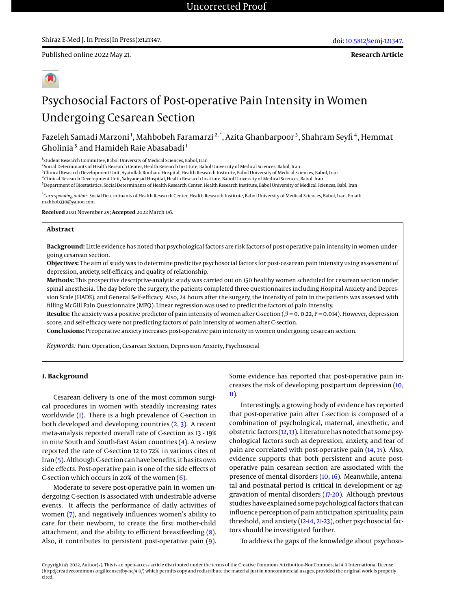Published online 2022 May 21.

**Research Article**

# Psychosocial Factors of Post-operative Pain Intensity in Women Undergoing Cesarean Section

Fazeleh Samadi Marzoni<sup>1</sup>, Mahbobeh Faramarzi<sup>2,\*</sup>, Azita Ghanbarpoor<sup>3</sup>, Shahram Seyfi<sup>4</sup>, Hemmat Gholinia<sup>5</sup> and Hamideh Raie Abasabadi<sup>1</sup>

<sup>1</sup> Student Research Committee, Babol University of Medical Sciences, Babol, Iran

2 Social Determinants of Health Research Center, Health Research Institute, Babol University of Medical Sciences, Babol, Iran

 $^3$ Clinical Research Development Unit, Ayatollah Rouhani Hospital, Health Research Institute, Babol University of Medical Sciences, Babol, Iran

4 Clinical Research Development Unit, Yahyanejad Hospital, Health Research Institute, Babol University of Medical Sciences, Babol, Iran

<sup>5</sup>Department of Biostatistics, Social Determinants of Health Research Center, Health Research Institute, Babol University of Medical Sciences, Babl, Iran

\* *Corresponding author*: Social Determinants of Health Research Center, Health Research Institute, Babol University of Medical Sciences, Babol, Iran. Email: mahbob330@yahoo.com

**Received** 2021 November 29; **Accepted** 2022 March 06.

# **Abstract**

**Background:** Little evidence has noted that psychological factors are risk factors of post-operative pain intensity in women undergoing cesarean section.

**Objectives:** The aim of study was to determine predictive psychosocial factors for post-cesarean pain intensity using assessment of depression, anxiety, self-efficacy, and quality of relationship.

**Methods:** This prospective descriptive-analytic study was carried out on 150 healthy women scheduled for cesarean section under spinal anesthesia. The day before the surgery, the patients completed three questionnaires including Hospital Anxiety and Depression Scale (HADS), and General Self-efficacy. Also, 24 hours after the surgery, the intensity of pain in the patients was assessed with filling McGill Pain Questionnaire (MPQ). Linear regression was used to predict the factors of pain intensity.

**Results:** The anxiety was a positive predictor of pain intensity of women after C-section  $(\beta = 0.022, P = 0.014)$ . However, depression score, and self-efficacy were not predicting factors of pain intensity of women after C-section.

**Conclusions:** Preoperative anxiety increases post-operative pain intensity in women undergoing cesarean section.

*Keywords:* Pain, Operation, Cesarean Section, Depression Anxiety, Psychosocial

# **1. Background**

Cesarean delivery is one of the most common surgical procedures in women with steadily increasing rates worldwide [\(1\)](#page-4-0). There is a high prevalence of C-section in both developed and developing countries [\(2,](#page-4-1) [3\)](#page-4-2). A recent meta-analysis reported overall rate of C-section as 13 - 19% in nine South and South-East Asian countries [\(4\)](#page-4-3). A review reported the rate of C-section 12 to 72% in various cites of Iran [\(5\)](#page-4-4). Although C-section can have benefits, it has its own side effects. Post-operative pain is one of the side effects of C-section which occurs in 20% of the women [\(6\)](#page-4-5).

Moderate to severe post-operative pain in women undergoing C-section is associated with undesirable adverse events. It affects the performance of daily activities of women [\(7\)](#page-4-6), and negatively influences women's ability to care for their newborn, to create the first mother-child attachment, and the ability to efficient breastfeeding [\(8\)](#page-4-7). Also, it contributes to persistent post-operative pain [\(9\)](#page-4-8). Some evidence has reported that post-operative pain increases the risk of developing postpartum depression [\(10,](#page-4-9) [11\)](#page-4-10).

Interestingly, a growing body of evidence has reported that post-operative pain after C-section is composed of a combination of psychological, maternal, anesthetic, and obstetric factors [\(12,](#page-4-11)[13\)](#page-4-12). Literature has noted that some psychological factors such as depression, anxiety, and fear of pain are correlated with post-operative pain [\(14,](#page-4-13) [15\)](#page-5-0). Also, evidence supports that both persistent and acute postoperative pain cesarean section are associated with the presence of mental disorders [\(10,](#page-4-9) [16\)](#page-5-1). Meanwhile, antenatal and postnatal period is critical in development or aggravation of mental disorders [\(17-](#page-5-2)[20\)](#page-5-3). Although previous studies have explained some psychological factors that can influence perception of pain anticipation spirituality, pain threshold, and anxiety [\(12](#page-4-11)[-14,](#page-4-13) [21](#page-5-4)[-23\)](#page-5-5), other psychosocial factors should be investigated further.

To address the gaps of the knowledge about psychoso-

Copyright © 2022, Author(s). This is an open-access article distributed under the terms of the Creative Commons Attribution-NonCommercial 4.0 International License (http://creativecommons.org/licenses/by-nc/4.0/) which permits copy and redistribute the material just in noncommercial usages, provided the original work is properly cited.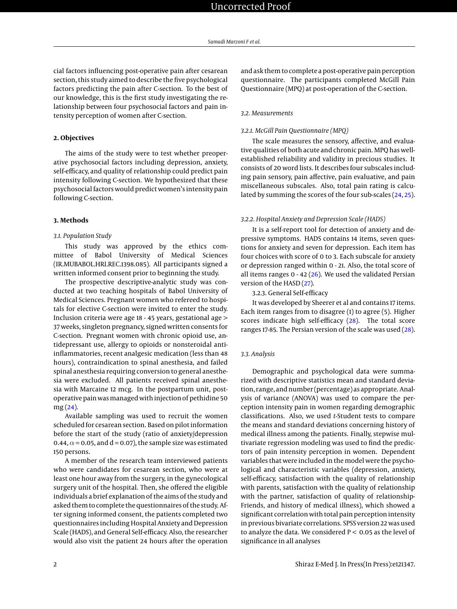cial factors influencing post-operative pain after cesarean section, this study aimed to describe the five psychological factors predicting the pain after C-section. To the best of our knowledge, this is the first study investigating the relationship between four psychosocial factors and pain intensity perception of women after C-section.

# **2. Objectives**

The aims of the study were to test whether preoperative psychosocial factors including depression, anxiety, self-efficacy, and quality of relationship could predict pain intensity following C-section. We hypothesized that these psychosocial factors would predict women's intensity pain following C-section.

#### **3. Methods**

# *3.1. Population Study*

This study was approved by the ethics committee of Babol University of Medical Sciences (IR.MUBABOL.HRI.REC.1398.085). All participants signed a written informed consent prior to beginning the study.

The prospective descriptive-analytic study was conducted at two teaching hospitals of Babol University of Medical Sciences. Pregnant women who refereed to hospitals for elective C-section were invited to enter the study. Inclusion criteria were age 18 - 45 years, gestational age > 37 weeks, singleton pregnancy, signed written consents for C-section. Pregnant women with chronic opioid use, antidepressant use, allergy to opioids or nonsteroidal antiinflammatories, recent analgesic medication (less than 48 hours), contraindication to spinal anesthesia, and failed spinal anesthesia requiring conversion to general anesthesia were excluded. All patients received spinal anesthesia with Marcaine 12 mcg. In the postpartum unit, postoperative pain wasmanaged with injection of pethidine 50 mg [\(24\)](#page-5-6).

Available sampling was used to recruit the women scheduled for cesarean section. Based on pilot information before the start of the study (ratio of anxiety/depression 0.44,  $\alpha$  = 0.05, and d = 0.07), the sample size was estimated 150 persons.

A member of the research team interviewed patients who were candidates for cesarean section, who were at least one hour away from the surgery, in the gynecological surgery unit of the hospital. Then, she offered the eligible individuals a brief explanation of the aims of the study and asked them to complete the questionnaires of the study. After signing informed consent, the patients completed two questionnaires including Hospital Anxiety and Depression Scale (HADS), and General Self-efficacy. Also, the researcher would also visit the patient 24 hours after the operation

and ask them to complete a post-operative pain perception questionnaire. The participants completed McGill Pain Questionnaire (MPQ) at post-operation of the C-section.

### *3.2. Measurements*

# *3.2.1. McGill Pain Questionnaire (MPQ)*

The scale measures the sensory, affective, and evaluative qualities of both acute and chronic pain. MPQ has wellestablished reliability and validity in precious studies. It consists of 20 word lists. It describes four subscales including pain sensory, pain affective, pain evaluative, and pain miscellaneous subscales. Also, total pain rating is calculated by summing the scores of the four sub-scales [\(24,](#page-5-6) [25\)](#page-5-7).

#### *3.2.2. Hospital Anxiety and Depression Scale (HADS)*

It is a self-report tool for detection of anxiety and depressive symptoms. HADS contains 14 items, seven questions for anxiety and seven for depression. Each item has four choices with score of 0 to 3. Each subscale for anxiety or depression ranged within 0 - 21. Also, the total score of all items ranges  $0 - 42$  [\(26\)](#page-5-8). We used the validated Persian version of the HASD [\(27\)](#page-5-9).

3.2.3. General Self-efficacy

It was developed by Sheerer et al and contains 17 items. Each item ranges from to disagree (1) to agree (5). Higher scores indicate high self-efficacy [\(28\)](#page-5-10). The total score ranges 17-85. The Persian version of the scale was used [\(28\)](#page-5-10).

# *3.3. Analysis*

Demographic and psychological data were summarized with descriptive statistics mean and standard deviation, range, and number (percentage) as appropriate. Analysis of variance (ANOVA) was used to compare the perception intensity pain in women regarding demographic classifications. Also, we used *t*-Student tests to compare the means and standard deviations concerning history of medical illness among the patients. Finally, stepwise multivariate regression modeling was used to find the predictors of pain intensity perception in women. Dependent variables that were included in the model were the psychological and characteristic variables (depression, anxiety, self-efficacy, satisfaction with the quality of relationship with parents, satisfaction with the quality of relationship with the partner, satisfaction of quality of relationship-Friends, and history of medical illness), which showed a significant correlation with total pain perception intensity in previous bivariate correlations. SPSS version 22 was used to analyze the data. We considered  $P < 0.05$  as the level of significance in all analyses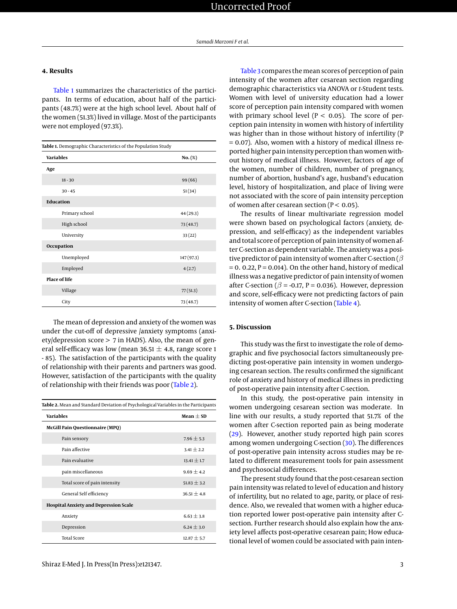# **4. Results**

[Table 1](#page-2-0) summarizes the characteristics of the participants. In terms of education, about half of the participants (48.7%) were at the high school level. About half of the women (51.3%) lived in village. Most of the participants were not employed (97.3%).

<span id="page-2-0"></span>

| Table 1. Demographic Characteristics of the Population Study |            |  |  |  |  |
|--------------------------------------------------------------|------------|--|--|--|--|
| <b>Variables</b>                                             | $No. (\%)$ |  |  |  |  |
| Age                                                          |            |  |  |  |  |
| $18 - 30$                                                    | 99(66)     |  |  |  |  |
| $30 - 45$                                                    | 51(34)     |  |  |  |  |
| <b>Education</b>                                             |            |  |  |  |  |
| Primary school                                               | 44 (29.3)  |  |  |  |  |
| High school                                                  | 73(48.7)   |  |  |  |  |
| University                                                   | 33(22)     |  |  |  |  |
| Occupation                                                   |            |  |  |  |  |
| Unemployed                                                   | 147 (97.3) |  |  |  |  |
| Employed                                                     | 4(2.7)     |  |  |  |  |
| <b>Place of life</b>                                         |            |  |  |  |  |
| Village                                                      | 77(51.3)   |  |  |  |  |
| City                                                         | 73(48.7)   |  |  |  |  |

The mean of depression and anxiety of the women was under the cut-off of depressive /anxiety symptoms (anxiety/depression score > 7 in HADS). Also, the mean of general self-efficacy was low (mean 36.51  $\pm$  4.8, range score 1 - 85). The satisfaction of the participants with the quality of relationship with their parents and partners was good. However, satisfaction of the participants with the quality of relationship with their friends was poor [\(Table 2\)](#page-2-1).

<span id="page-2-1"></span>

| Table 2. Mean and Standard Deviation of Psychological Variables in the Participants |                 |  |  |  |
|-------------------------------------------------------------------------------------|-----------------|--|--|--|
| <b>Variables</b>                                                                    | $Mean + SD$     |  |  |  |
| <b>McGill Pain Questionnaire (MPQ)</b>                                              |                 |  |  |  |
| Pain sensory                                                                        | $7.96 \pm 5.3$  |  |  |  |
| Pain affective                                                                      | $3.41 + 2.2$    |  |  |  |
| Pain evaluative                                                                     | $13.41 \pm 1.7$ |  |  |  |
| pain miscellaneous                                                                  | $9.69 \pm 4.2$  |  |  |  |
| Total score of pain intensity                                                       | $51.83 \pm 3.2$ |  |  |  |
| General Self efficiency                                                             | $36.51 + 4.8$   |  |  |  |
| <b>Hospital Anxiety and Depression Scale</b>                                        |                 |  |  |  |
| Anxiety                                                                             | $6.63 \pm 3.8$  |  |  |  |
| Depression                                                                          | $6.24 \pm 3.0$  |  |  |  |
| <b>Total Score</b>                                                                  | $12.87 \pm 5.7$ |  |  |  |

[Table 3](#page-3-0) compares themean scores of perception of pain intensity of the women after cesarean section regarding demographic characteristics via ANOVA or *t*-Student tests. Women with level of university education had a lower score of perception pain intensity compared with women with primary school level ( $P < 0.05$ ). The score of perception pain intensity in women with history of infertility was higher than in those without history of infertility (P = 0.07). Also, women with a history of medical illness reported higher pain intensity perception than women without history of medical illness. However, factors of age of the women, number of children, number of pregnancy, number of abortion, husband's age, husband's education level, history of hospitalization, and place of living were not associated with the score of pain intensity perception of women after cesarean section ( $P < 0.05$ ).

The results of linear multivariate regression model were shown based on psychological factors (anxiety, depression, and self-efficacy) as the independent variables and total score of perception of pain intensity of women after C-section as dependent variable. The anxiety was a positive predictor of pain intensity of women after C-section ( $\beta$  $= 0. 0.22$ , P  $= 0.014$ ). On the other hand, history of medical illness was a negative predictor of pain intensity of women after C-section ( $\beta$  = -0.17, P = 0.036). However, depression and score, self-efficacy were not predicting factors of pain intensity of women after C-section [\(Table 4\)](#page-4-14).

# **5. Discussion**

This study was the first to investigate the role of demographic and five psychosocial factors simultaneously predicting post-operative pain intensity in women undergoing cesarean section. The results confirmed the significant role of anxiety and history of medical illness in predicting of post-operative pain intensity after C-section.

In this study, the post-operative pain intensity in women undergoing cesarean section was moderate. In line with our results, a study reported that 51.7% of the women after C-section reported pain as being moderate [\(29\)](#page-5-11). However, another study reported high pain scores among women undergoing C-section [\(30\)](#page-5-12). The differences of post-operative pain intensity across studies may be related to different measurement tools for pain assessment and psychosocial differences.

The present study found that the post-cesarean section pain intensity was related to level of education and history of infertility, but no related to age, parity, or place of residence. Also, we revealed that women with a higher education reported lower post-operative pain intensity after Csection. Further research should also explain how the anxiety level affects post-operative cesarean pain; How educational level of women could be associated with pain inten-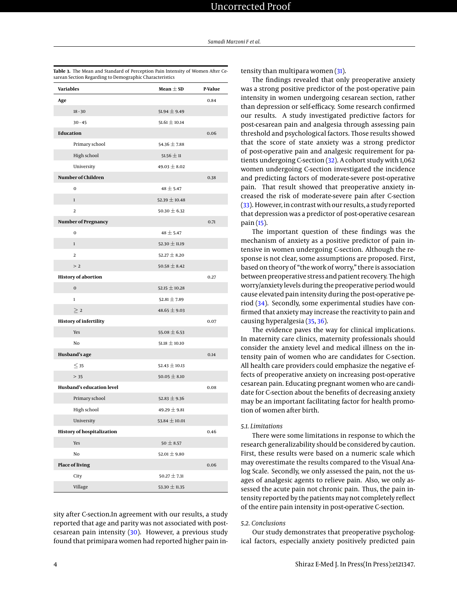| <b>Variables</b> |                                   | Mean $\pm$ SD     | P-Value |  |
|------------------|-----------------------------------|-------------------|---------|--|
| Age              |                                   |                   | 0.84    |  |
|                  | $18 - 30$                         | $51.94 \pm 9.49$  |         |  |
|                  | $30 - 45$                         | $51.61 \pm 10.14$ |         |  |
|                  | <b>Education</b>                  |                   | 0.06    |  |
|                  | Primary school                    | 54.36 $\pm$ 7.88  |         |  |
|                  | High school                       | $51.56 \pm 11$    |         |  |
|                  | University                        | $49.03 \pm 8.02$  |         |  |
|                  | Number of Children                |                   | 0.38    |  |
|                  | 0                                 | $48 + 5.47$       |         |  |
|                  | $\mathbf{1}$                      | $52.39 \pm 10.48$ |         |  |
|                  | $\overline{2}$                    | 50.30 $\pm$ 6.32  |         |  |
|                  | Number of Pregnancy               |                   | 0.71    |  |
|                  | $\bf{0}$                          | $48 + 5.47$       |         |  |
|                  | $\mathbf{1}$                      | $52.30\pm11.19$   |         |  |
|                  | $\overline{2}$                    | $52.27 \pm 8.20$  |         |  |
|                  | >2                                | $50.58 \pm 8.42$  |         |  |
|                  | <b>History of abortion</b>        |                   | 0.27    |  |
|                  | $\mathbf 0$                       | $52.15 \pm 10.28$ |         |  |
|                  | $\mathbf{1}$                      | 52.81 $\pm$ 7.89  |         |  |
|                  | $\geq 2$                          | $48.65 \pm 9.03$  |         |  |
|                  | <b>History of infertility</b>     |                   | 0.07    |  |
|                  | Yes                               | 55.08 $\pm$ 6.53  |         |  |
|                  | No                                | $51.18 \pm 10.10$ |         |  |
|                  | Husband's age                     |                   | 0.14    |  |
|                  | $\leq$ 35                         | $52.43 \pm 10.13$ |         |  |
|                  | > 35                              | $50.05 \pm 8.10$  |         |  |
|                  | Husband's education level         |                   | 0.08    |  |
|                  | Primary school                    | 52.83 $\pm$ 9.36  |         |  |
|                  | High school                       | 49.29 $\pm$ 9.81  |         |  |
|                  | University                        | 53.84 $\pm$ 10.01 |         |  |
|                  | <b>History of hospitalization</b> |                   | 0.46    |  |
|                  | Yes                               | $50 \pm 8.57$     |         |  |
|                  | No                                | 52.01 $\pm$ 9.80  |         |  |
|                  | <b>Place of living</b>            |                   | 0.06    |  |
|                  | City                              | $50.27 \pm 7.31$  |         |  |
|                  | Village                           | 53.30 $\pm$ 11.35 |         |  |

<span id="page-3-0"></span>**Table 3.** The Mean and Standard of Perception Pain Intensity of Women After Cesarean Section Regarding to Demographic Characteristics

sity after C-section.In agreement with our results, a study reported that age and parity was not associated with postcesarean pain intensity [\(30\)](#page-5-12). However, a previous study found that primipara women had reported higher pain intensity than multipara women [\(31\)](#page-5-13).

The findings revealed that only preoperative anxiety was a strong positive predictor of the post-operative pain intensity in women undergoing cesarean section, rather than depression or self-efficacy. Some research confirmed our results. A study investigated predictive factors for post-cesarean pain and analgesia through assessing pain threshold and psychological factors. Those results showed that the score of state anxiety was a strong predictor of post-operative pain and analgesic requirement for patients undergoing C-section [\(32\)](#page-5-14). A cohort study with 1,062 women undergoing C-section investigated the incidence and predicting factors of moderate-severe post-operative pain. That result showed that preoperative anxiety increased the risk of moderate-severe pain after C-section [\(33\)](#page-5-15). However, in contrast with our results, a study reported that depression was a predictor of post-operative cesarean pain [\(15\)](#page-5-0).

The important question of these findings was the mechanism of anxiety as a positive predictor of pain intensive in women undergoing C-section. Although the response is not clear, some assumptions are proposed. First, based on theory of "the work of worry," there is association between preoperative stress and patient recovery. The high worry/anxiety levels during the preoperative period would cause elevated pain intensity during the post-operative period [\(34\)](#page-5-16). Secondly, some experimental studies have confirmed that anxiety may increase the reactivity to pain and causing hyperalgesia [\(35,](#page-5-17) [36\)](#page-5-18).

The evidence paves the way for clinical implications. In maternity care clinics, maternity professionals should consider the anxiety level and medical illness on the intensity pain of women who are candidates for C-section. All health care providers could emphasize the negative effects of preoperative anxiety on increasing post-operative cesarean pain. Educating pregnant women who are candidate for C-section about the benefits of decreasing anxiety may be an important facilitating factor for health promotion of women after birth.

#### *5.1. Limitations*

There were some limitations in response to which the research generalizability should be considered by caution. First, these results were based on a numeric scale which may overestimate the results compared to the Visual Analog Scale. Secondly, we only assessed the pain, not the usages of analgesic agents to relieve pain. Also, we only assessed the acute pain not chronic pain. Thus, the pain intensity reported by the patients may not completely reflect of the entire pain intensity in post-operative C-section.

### *5.2. Conclusions*

Our study demonstrates that preoperative psychological factors, especially anxiety positively predicted pain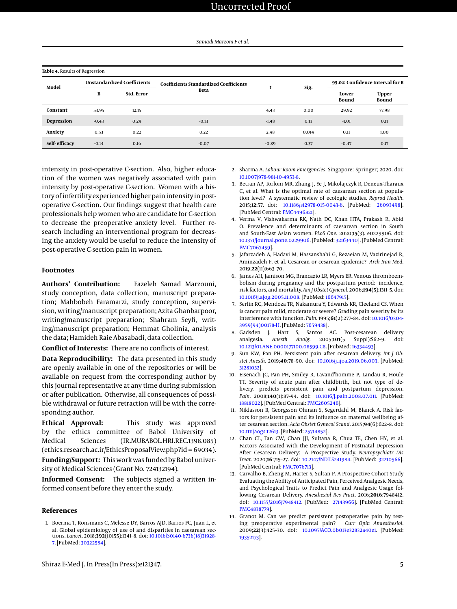<span id="page-4-14"></span>

| Table 4. Results of Regression |                                    |                   |                                               |         |       |                                 |                              |  |
|--------------------------------|------------------------------------|-------------------|-----------------------------------------------|---------|-------|---------------------------------|------------------------------|--|
| Model                          | <b>Unstandardized Coefficients</b> |                   | <b>Coefficients Standardized Coefficients</b> | t       | Sig.  | 95.0% Confidence Interval for B |                              |  |
|                                | В                                  | <b>Std. Error</b> | <b>Beta</b>                                   |         |       | Lower<br>Bound                  | <b>Upper</b><br><b>Bound</b> |  |
| Constant                       | 53.95                              | 12.15             |                                               | 4.43    | 0.00  | 29.92                           | 77.98                        |  |
| Depression                     | $-0.43$                            | 0.29              | $-0.13$                                       | $-1.48$ | 0.13  | $-1.01$                         | 0.11                         |  |
| Anxiety                        | 0.53                               | 0.22              | 0.22                                          | 2.48    | 0.014 | 0.11                            | 1.00                         |  |
| Self-efficacy                  | $-0.14$                            | 0.16              | $-0.07$                                       | $-0.89$ | 0.37  | $-0.47$                         | 0.17                         |  |

intensity in post-operative C-section. Also, higher education of the women was negatively associated with pain intensity by post-operative C-section. Women with a history of infertility experienced higher pain intensity in postoperative C-section. Our findings suggest that health care professionals help women who are candidate for C-section to decrease the preoperative anxiety level. Further research including an interventional program for decreasing the anxiety would be useful to reduce the intensity of post-operative C-section pain in women.

# **Footnotes**

**Authors' Contribution:** Fazeleh Samad Marzouni, study conception, data collection, manuscript preparation; Mahbobeh Faramarzi, study conception, supervision, writing/manuscript preparation; Azita Ghanbarpoor, writing/manuscript preparation; Shahram Seyfi, writing/manuscript preparation; Hemmat Gholinia, analysis the data; Hamideh Raie Abasabadi, data collection.

**Conflict of Interests:** There are no conflicts of interest.

**Data Reproducibility:** The data presented in this study are openly available in one of the repositories or will be available on request from the corresponding author by this journal representative at any time during submission or after publication. Otherwise, all consequences of possible withdrawal or future retraction will be with the corresponding author.

**Ethical Approval:** This study was approved by the ethics committee of Babol University of Medical Sciences (IR.MUBABOL.HRI.REC.1398.085) (ethics.research.ac.ir/EthicsProposalView.php?id = 69034).

**Funding/Support:** This work was funded by Babol university of Medical Sciences (Grant No. 724132194).

**Informed Consent:** The subjects signed a written informed consent before they enter the study.

#### **References**

<span id="page-4-0"></span>1. Boerma T, Ronsmans C, Melesse DY, Barros AJD, Barros FC, Juan L, et al. Global epidemiology of use of and disparities in caesarean sections. *Lancet*. 2018;**392**(10155):1341–8. doi: [10.1016/S0140-6736\(18\)31928-](http://dx.doi.org/10.1016/S0140-6736(18)31928-7) [7.](http://dx.doi.org/10.1016/S0140-6736(18)31928-7) [PubMed: [30322584\]](http://www.ncbi.nlm.nih.gov/pubmed/30322584).

- <span id="page-4-1"></span>2. Sharma A. *Labour Room Emergencies*. Singapore: Springer; 2020. doi: [10.1007/978-981-10-4953-8.](http://dx.doi.org/10.1007/978-981-10-4953-8)
- <span id="page-4-2"></span>3. Betran AP, Torloni MR, Zhang J, Ye J, Mikolajczyk R, Deneux-Tharaux C, et al. What is the optimal rate of caesarean section at population level? A systematic review of ecologic studies. *Reprod Health*. 2015;**12**:57. doi: [10.1186/s12978-015-0043-6.](http://dx.doi.org/10.1186/s12978-015-0043-6) [PubMed: [26093498\]](http://www.ncbi.nlm.nih.gov/pubmed/26093498). [PubMed Central: [PMC4496821\]](https://www.ncbi.nlm.nih.gov/pmc/articles/PMC4496821).
- <span id="page-4-3"></span>4. Verma V, Vishwakarma RK, Nath DC, Khan HTA, Prakash R, Abid O. Prevalence and determinants of caesarean section in South and South-East Asian women. *PLoS One*. 2020;**15**(3). e0229906. doi: [10.1371/journal.pone.0229906.](http://dx.doi.org/10.1371/journal.pone.0229906) [PubMed: [32163440\]](http://www.ncbi.nlm.nih.gov/pubmed/32163440). [PubMed Central: [PMC7067459\]](https://www.ncbi.nlm.nih.gov/pmc/articles/PMC7067459).
- <span id="page-4-4"></span>5. Jafarzadeh A, Hadavi M, Hassanshahi G, Rezaeian M, Vazirinejad R, Aminzadeh F, et al. Cesarean or cesarean epidemic? *Arch Iran Med*. 2019;**22**(11):663–70.
- <span id="page-4-5"></span>6. James AH, Jamison MG, Brancazio LR, Myers ER. Venous thromboembolism during pregnancy and the postpartum period: incidence, risk factors, and mortality. *Am J Obstet Gynecol*. 2006;**194**(5):1311–5. doi: [10.1016/j.ajog.2005.11.008.](http://dx.doi.org/10.1016/j.ajog.2005.11.008) [PubMed: [16647915\]](http://www.ncbi.nlm.nih.gov/pubmed/16647915).
- <span id="page-4-6"></span>7. Serlin RC, Mendoza TR, Nakamura Y, Edwards KR, Cleeland CS. When is cancer pain mild, moderate or severe? Grading pain severity by its interference with function. *Pain*. 1995;**61**(2):277–84. doi: [10.1016/0304-](http://dx.doi.org/10.1016/0304-3959(94)00178-H) [3959\(94\)00178-H.](http://dx.doi.org/10.1016/0304-3959(94)00178-H) [PubMed: [7659438\]](http://www.ncbi.nlm.nih.gov/pubmed/7659438).
- <span id="page-4-7"></span>8. Gadsden J, Hart S, Santos AC. Post-cesarean delivery analgesia. *Anesth Analg*. 2005;**101**(5 Suppl):S62–9. doi: [10.1213/01.ANE.0000177100.08599.C8.](http://dx.doi.org/10.1213/01.ANE.0000177100.08599.C8) [PubMed: [16334493\]](http://www.ncbi.nlm.nih.gov/pubmed/16334493).
- <span id="page-4-8"></span>9. Sun KW, Pan PH. Persistent pain after cesarean delivery. *Int J Obstet Anesth*. 2019;**40**:78–90. doi: [10.1016/j.ijoa.2019.06.003.](http://dx.doi.org/10.1016/j.ijoa.2019.06.003) [PubMed: [31281032\]](http://www.ncbi.nlm.nih.gov/pubmed/31281032).
- <span id="page-4-9"></span>10. Eisenach JC, Pan PH, Smiley R, Lavand'homme P, Landau R, Houle TT. Severity of acute pain after childbirth, but not type of delivery, predicts persistent pain and postpartum depression. *Pain*. 2008;**140**(1):87–94. doi: [10.1016/j.pain.2008.07.011.](http://dx.doi.org/10.1016/j.pain.2008.07.011) [PubMed: [18818022\]](http://www.ncbi.nlm.nih.gov/pubmed/18818022). [PubMed Central: [PMC2605246\]](https://www.ncbi.nlm.nih.gov/pmc/articles/PMC2605246).
- <span id="page-4-10"></span>11. Niklasson B, Georgsson Ohman S, Segerdahl M, Blanck A. Risk factors for persistent pain and its influence on maternal wellbeing after cesarean section. *Acta Obstet Gynecol Scand*. 2015;**94**(6):622–8. doi: [10.1111/aogs.12613.](http://dx.doi.org/10.1111/aogs.12613) [PubMed: [25714852\]](http://www.ncbi.nlm.nih.gov/pubmed/25714852).
- <span id="page-4-11"></span>12. Chan CL, Tan CW, Chan JJI, Sultana R, Chua TE, Chen HY, et al. Factors Associated with the Development of Postnatal Depression After Cesarean Delivery: A Prospective Study. *Neuropsychiatr Dis Treat*. 2020;**16**:715–27. doi: [10.2147/NDT.S241984.](http://dx.doi.org/10.2147/NDT.S241984) [PubMed: [32210566\]](http://www.ncbi.nlm.nih.gov/pubmed/32210566). [PubMed Central: [PMC7076713\]](https://www.ncbi.nlm.nih.gov/pmc/articles/PMC7076713).
- <span id="page-4-12"></span>13. Carvalho B, Zheng M, Harter S, Sultan P. A Prospective Cohort Study Evaluating the Ability of Anticipated Pain, Perceived Analgesic Needs, and Psychological Traits to Predict Pain and Analgesic Usage following Cesarean Delivery. *Anesthesiol Res Pract*. 2016;**2016**:7948412. doi: [10.1155/2016/7948412.](http://dx.doi.org/10.1155/2016/7948412) [PubMed: [27143966\]](http://www.ncbi.nlm.nih.gov/pubmed/27143966). [PubMed Central: [PMC4838779\]](https://www.ncbi.nlm.nih.gov/pmc/articles/PMC4838779).
- <span id="page-4-13"></span>14. Granot M. Can we predict persistent postoperative pain by testing preoperative experimental pain? *Curr Opin Anaesthesiol*. 2009;**22**(3):425–30. doi: [10.1097/ACO.0b013e32832a40e1.](http://dx.doi.org/10.1097/ACO.0b013e32832a40e1) [PubMed: [19352173\]](http://www.ncbi.nlm.nih.gov/pubmed/19352173).